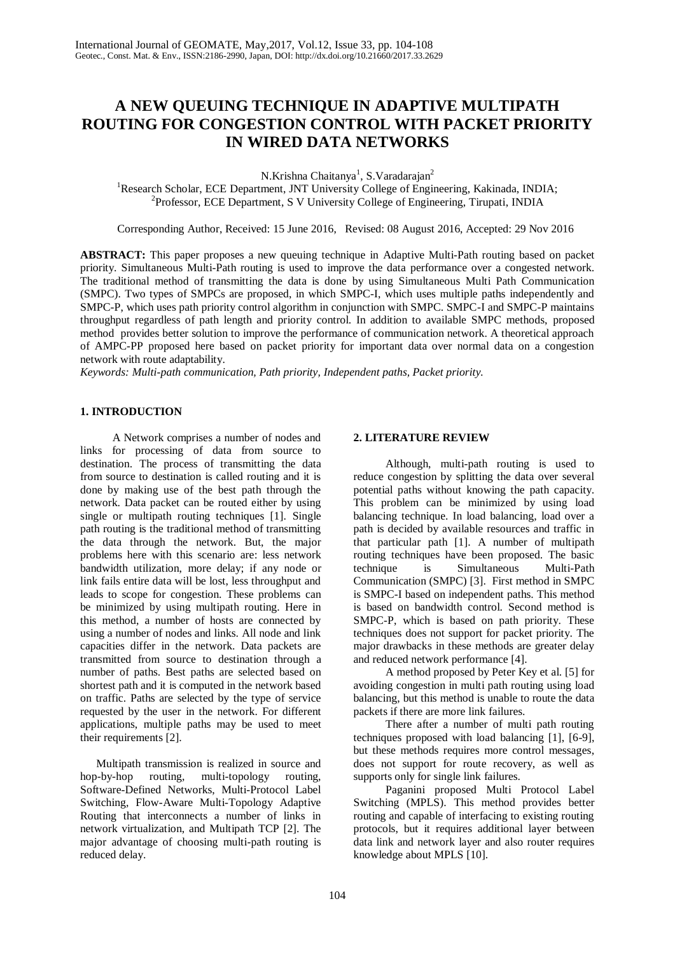# **A NEW QUEUING TECHNIQUE IN ADAPTIVE MULTIPATH ROUTING FOR CONGESTION CONTROL WITH PACKET PRIORITY IN WIRED DATA NETWORKS**

N.Krishna Chaitanya<sup>1</sup>, S.Varadarajan<sup>2</sup>

<sup>1</sup>Research Scholar, ECE Department, JNT University College of Engineering, Kakinada, INDIA; 2 Professor, ECE Department, S V University College of Engineering, Tirupati, INDIA

Corresponding Author, Received: 15 June 2016, Revised: 08 August 2016, Accepted: 29 Nov 2016

**ABSTRACT:** This paper proposes a new queuing technique in Adaptive Multi-Path routing based on packet priority. Simultaneous Multi-Path routing is used to improve the data performance over a congested network. The traditional method of transmitting the data is done by using Simultaneous Multi Path Communication (SMPC). Two types of SMPCs are proposed, in which SMPC-I, which uses multiple paths independently and SMPC-P, which uses path priority control algorithm in conjunction with SMPC. SMPC-I and SMPC-P maintains throughput regardless of path length and priority control. In addition to available SMPC methods, proposed method provides better solution to improve the performance of communication network. A theoretical approach of AMPC-PP proposed here based on packet priority for important data over normal data on a congestion network with route adaptability.

*Keywords: Multi-path communication, Path priority, Independent paths, Packet priority.* 

# **1. INTRODUCTION**

A Network comprises a number of nodes and links for processing of data from source to destination. The process of transmitting the data from source to destination is called routing and it is done by making use of the best path through the network. Data packet can be routed either by using single or multipath routing techniques [1]. Single path routing is the traditional method of transmitting the data through the network. But, the major problems here with this scenario are: less network bandwidth utilization, more delay; if any node or link fails entire data will be lost, less throughput and leads to scope for congestion. These problems can be minimized by using multipath routing. Here in this method, a number of hosts are connected by using a number of nodes and links. All node and link capacities differ in the network. Data packets are transmitted from source to destination through a number of paths. Best paths are selected based on shortest path and it is computed in the network based on traffic. Paths are selected by the type of service requested by the user in the network. For different applications, multiple paths may be used to meet their requirements [2].

Multipath transmission is realized in source and hop-by-hop routing, multi-topology routing, Software-Defined Networks, Multi-Protocol Label Switching, Flow-Aware Multi-Topology Adaptive Routing that interconnects a number of links in network virtualization, and Multipath TCP [2]. The major advantage of choosing multi-path routing is reduced delay.

# **2. LITERATURE REVIEW**

Although, multi-path routing is used to reduce congestion by splitting the data over several potential paths without knowing the path capacity. This problem can be minimized by using load balancing technique. In load balancing, load over a path is decided by available resources and traffic in that particular path [1]. A number of multipath routing techniques have been proposed. The basic technique is Simultaneous Multi-Path Communication (SMPC) [3]. First method in SMPC is SMPC-I based on independent paths. This method is based on bandwidth control. Second method is SMPC-P, which is based on path priority. These techniques does not support for packet priority. The major drawbacks in these methods are greater delay and reduced network performance [4].

A method proposed by Peter Key et al. [5] for avoiding congestion in multi path routing using load balancing, but this method is unable to route the data packets if there are more link failures.

There after a number of multi path routing techniques proposed with load balancing [1], [6-9], but these methods requires more control messages, does not support for route recovery, as well as supports only for single link failures.

Paganini proposed Multi Protocol Label Switching (MPLS). This method provides better routing and capable of interfacing to existing routing protocols, but it requires additional layer between data link and network layer and also router requires knowledge about MPLS [10].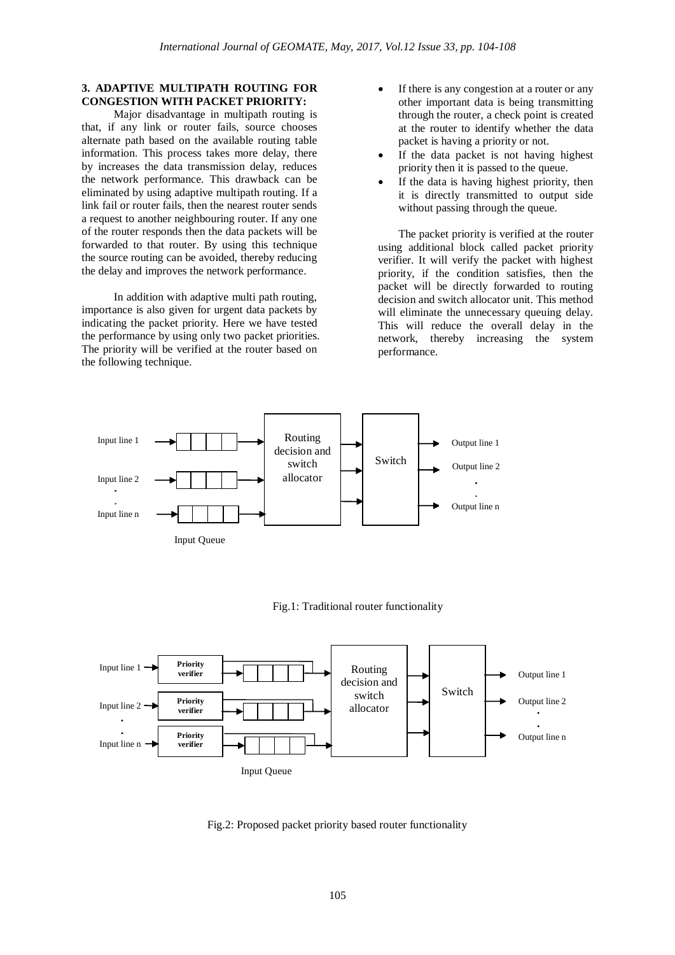# **3. ADAPTIVE MULTIPATH ROUTING FOR CONGESTION WITH PACKET PRIORITY:**

Major disadvantage in multipath routing is that, if any link or router fails, source chooses alternate path based on the available routing table information. This process takes more delay, there by increases the data transmission delay, reduces the network performance. This drawback can be eliminated by using adaptive multipath routing. If a link fail or router fails, then the nearest router sends a request to another neighbouring router. If any one of the router responds then the data packets will be forwarded to that router. By using this technique the source routing can be avoided, thereby reducing the delay and improves the network performance.

In addition with adaptive multi path routing, importance is also given for urgent data packets by indicating the packet priority. Here we have tested the performance by using only two packet priorities. The priority will be verified at the router based on the following technique.

- If there is any congestion at a router or any other important data is being transmitting through the router, a check point is created at the router to identify whether the data packet is having a priority or not.
- If the data packet is not having highest priority then it is passed to the queue.
- If the data is having highest priority, then it is directly transmitted to output side without passing through the queue.

The packet priority is verified at the router using additional block called packet priority verifier. It will verify the packet with highest priority, if the condition satisfies, then the packet will be directly forwarded to routing decision and switch allocator unit. This method will eliminate the unnecessary queuing delay. This will reduce the overall delay in the network, thereby increasing the system performance.



#### Fig.1: Traditional router functionality



Fig.2: Proposed packet priority based router functionality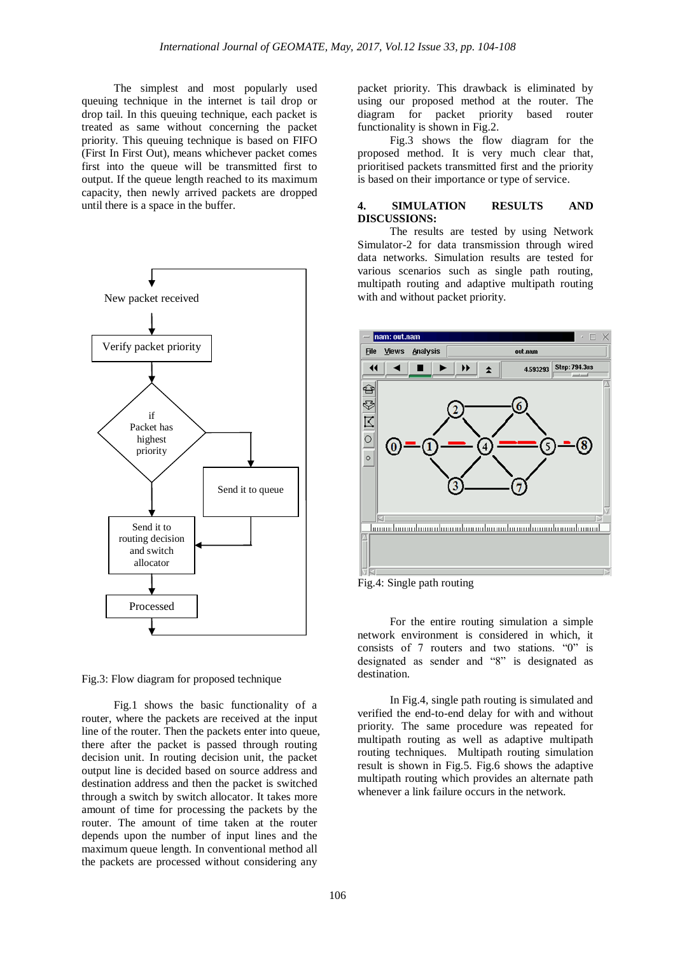The simplest and most popularly used queuing technique in the internet is tail drop or drop tail. In this queuing technique, each packet is treated as same without concerning the packet priority. This queuing technique is based on FIFO (First In First Out), means whichever packet comes first into the queue will be transmitted first to output. If the queue length reached to its maximum capacity, then newly arrived packets are dropped until there is a space in the buffer.



Fig.3: Flow diagram for proposed technique

Fig.1 shows the basic functionality of a router, where the packets are received at the input line of the router. Then the packets enter into queue, there after the packet is passed through routing decision unit. In routing decision unit, the packet output line is decided based on source address and destination address and then the packet is switched through a switch by switch allocator. It takes more amount of time for processing the packets by the router. The amount of time taken at the router depends upon the number of input lines and the maximum queue length. In conventional method all the packets are processed without considering any

packet priority. This drawback is eliminated by using our proposed method at the router. The diagram for packet priority based router functionality is shown in Fig.2.

Fig.3 shows the flow diagram for the proposed method. It is very much clear that, prioritised packets transmitted first and the priority is based on their importance or type of service.

# **4. SIMULATION RESULTS AND DISCUSSIONS:**

The results are tested by using Network Simulator-2 for data transmission through wired data networks. Simulation results are tested for various scenarios such as single path routing, multipath routing and adaptive multipath routing with and without packet priority.



Fig.4: Single path routing

For the entire routing simulation a simple network environment is considered in which, it consists of 7 routers and two stations. "0" is designated as sender and "8" is designated as destination.

In Fig.4, single path routing is simulated and verified the end-to-end delay for with and without priority. The same procedure was repeated for multipath routing as well as adaptive multipath routing techniques. Multipath routing simulation result is shown in Fig.5. Fig.6 shows the adaptive multipath routing which provides an alternate path whenever a link failure occurs in the network.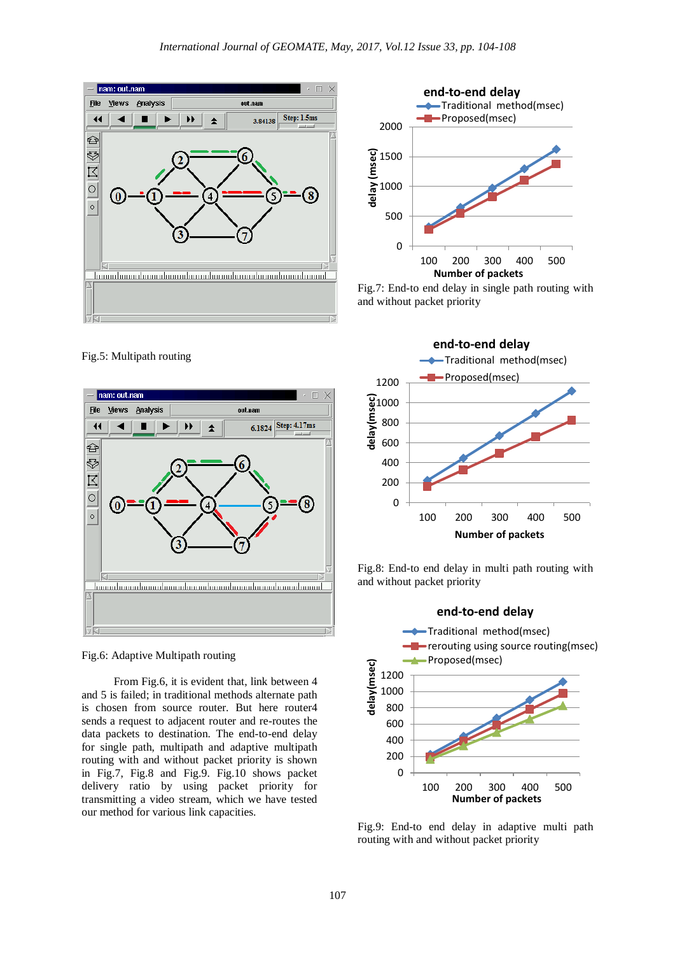

**end-to-end delay** Traditional method(msec) Proposed(msec) 2000 delay (msec) **delay (msec)** 1500 1000 500 0 100 200 300 400 500 **Number of packets**

Fig.7: End-to end delay in single path routing with and without packet priority

nam: out.nam **File** Views Analysis out nam 6.1824 Step: 4.17ms  $\ddot{\phantom{1}}$ ▶▶  $\ddot{\textbf{z}}$ ఆ Ş 6  $\overline{\mathbb{E}}$  $\overline{\circ}$  $\circ$ 



From Fig.6, it is evident that, link between 4 and 5 is failed; in traditional methods alternate path is chosen from source router. But here router4 sends a request to adjacent router and re-routes the data packets to destination. The end-to-end delay for single path, multipath and adaptive multipath routing with and without packet priority is shown in Fig.7, Fig.8 and Fig.9. Fig.10 shows packet delivery ratio by using packet priority for transmitting a video stream, which we have tested our method for various link capacities.



Fig.8: End-to end delay in multi path routing with and without packet priority



Fig.9: End-to end delay in adaptive multi path routing with and without packet priority

Fig.5: Multipath routing